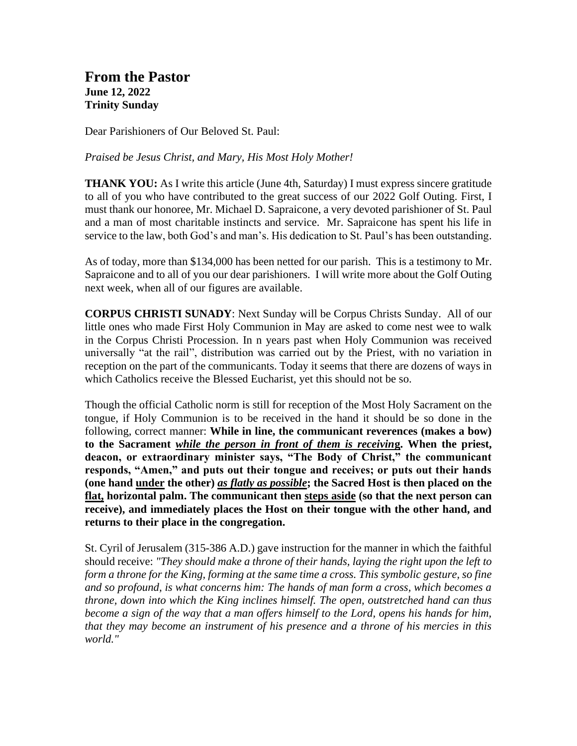**From the Pastor June 12, 2022 Trinity Sunday**

Dear Parishioners of Our Beloved St. Paul:

*Praised be Jesus Christ, and Mary, His Most Holy Mother!*

**THANK YOU:** As I write this article (June 4th, Saturday) I must express sincere gratitude to all of you who have contributed to the great success of our 2022 Golf Outing. First, I must thank our honoree, Mr. Michael D. Sapraicone, a very devoted parishioner of St. Paul and a man of most charitable instincts and service. Mr. Sapraicone has spent his life in service to the law, both God's and man's. His dedication to St. Paul's has been outstanding.

As of today, more than \$134,000 has been netted for our parish. This is a testimony to Mr. Sapraicone and to all of you our dear parishioners. I will write more about the Golf Outing next week, when all of our figures are available.

**CORPUS CHRISTI SUNADY**: Next Sunday will be Corpus Christs Sunday. All of our little ones who made First Holy Communion in May are asked to come nest wee to walk in the Corpus Christi Procession. In n years past when Holy Communion was received universally "at the rail", distribution was carried out by the Priest, with no variation in reception on the part of the communicants. Today it seems that there are dozens of ways in which Catholics receive the Blessed Eucharist, yet this should not be so.

Though the official Catholic norm is still for reception of the Most Holy Sacrament on the tongue, if Holy Communion is to be received in the hand it should be so done in the following, correct manner: **While in line, the communicant reverences (makes a bow) to the Sacrament** *while the person in front of them is receivin***g. When the priest, deacon, or extraordinary minister says, "The Body of Christ," the communicant responds, "Amen," and puts out their tongue and receives; or puts out their hands (one hand under the other)** *as flatly as possible***; the Sacred Host is then placed on the flat, horizontal palm. The communicant then steps aside (so that the next person can receive), and immediately places the Host on their tongue with the other hand, and returns to their place in the congregation.** 

St. Cyril of Jerusalem (315-386 A.D.) gave instruction for the manner in which the faithful should receive: *"They should make a throne of their hands, laying the right upon the left to form a throne for the King, forming at the same time a cross. This symbolic gesture, so fine and so profound, is what concerns him: The hands of man form a cross, which becomes a throne, down into which the King inclines himself. The open, outstretched hand can thus become a sign of the way that a man offers himself to the Lord, opens his hands for him, that they may become an instrument of his presence and a throne of his mercies in this world."*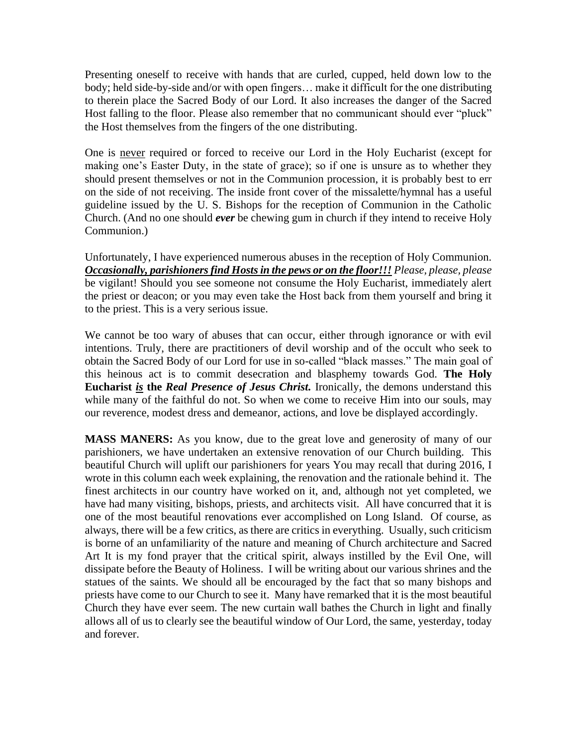Presenting oneself to receive with hands that are curled, cupped, held down low to the body; held side-by-side and/or with open fingers… make it difficult for the one distributing to therein place the Sacred Body of our Lord. It also increases the danger of the Sacred Host falling to the floor. Please also remember that no communicant should ever "pluck" the Host themselves from the fingers of the one distributing.

One is never required or forced to receive our Lord in the Holy Eucharist (except for making one's Easter Duty, in the state of grace); so if one is unsure as to whether they should present themselves or not in the Communion procession, it is probably best to err on the side of not receiving. The inside front cover of the missalette/hymnal has a useful guideline issued by the U. S. Bishops for the reception of Communion in the Catholic Church. (And no one should *ever* be chewing gum in church if they intend to receive Holy Communion.)

Unfortunately, I have experienced numerous abuses in the reception of Holy Communion. *Occasionally, parishioners find Hosts in the pews or on the floor!!! Please, please, please* be vigilant! Should you see someone not consume the Holy Eucharist, immediately alert the priest or deacon; or you may even take the Host back from them yourself and bring it to the priest. This is a very serious issue.

We cannot be too wary of abuses that can occur, either through ignorance or with evil intentions. Truly, there are practitioners of devil worship and of the occult who seek to obtain the Sacred Body of our Lord for use in so-called "black masses." The main goal of this heinous act is to commit desecration and blasphemy towards God. **The Holy Eucharist** *is* **the** *Real Presence of Jesus Christ.* Ironically, the demons understand this while many of the faithful do not. So when we come to receive Him into our souls, may our reverence, modest dress and demeanor, actions, and love be displayed accordingly.

**MASS MANERS:** As you know, due to the great love and generosity of many of our parishioners, we have undertaken an extensive renovation of our Church building. This beautiful Church will uplift our parishioners for years You may recall that during 2016, I wrote in this column each week explaining, the renovation and the rationale behind it. The finest architects in our country have worked on it, and, although not yet completed, we have had many visiting, bishops, priests, and architects visit. All have concurred that it is one of the most beautiful renovations ever accomplished on Long Island. Of course, as always, there will be a few critics, as there are critics in everything. Usually, such criticism is borne of an unfamiliarity of the nature and meaning of Church architecture and Sacred Art It is my fond prayer that the critical spirit, always instilled by the Evil One, will dissipate before the Beauty of Holiness. I will be writing about our various shrines and the statues of the saints. We should all be encouraged by the fact that so many bishops and priests have come to our Church to see it. Many have remarked that it is the most beautiful Church they have ever seem. The new curtain wall bathes the Church in light and finally allows all of us to clearly see the beautiful window of Our Lord, the same, yesterday, today and forever.